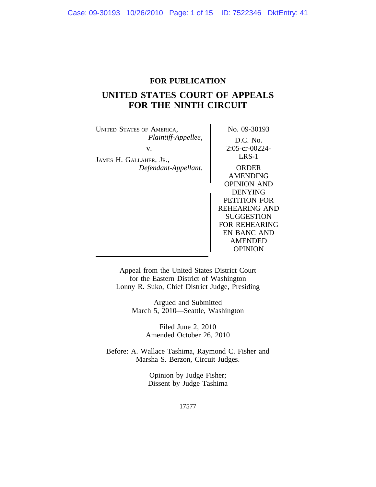# **FOR PUBLICATION**

# **UNITED STATES COURT OF APPEALS FOR THE NINTH CIRCUIT**

UNITED STATES OF AMERICA, No. 09-30193 *Plaintiff-Appellee,* D.C. No. v. 2:05-cr-00224-JAMES H. GALLAHER, JR., LRS-1 *Defendant-Appellant.* ORDER

AMENDING OPINION AND DENYING PETITION FOR REHEARING AND SUGGESTION FOR REHEARING EN BANC AND AMENDED **OPINION** 

Appeal from the United States District Court for the Eastern District of Washington Lonny R. Suko, Chief District Judge, Presiding

> Argued and Submitted March 5, 2010—Seattle, Washington

> > Filed June 2, 2010 Amended October 26, 2010

Before: A. Wallace Tashima, Raymond C. Fisher and Marsha S. Berzon, Circuit Judges.

> Opinion by Judge Fisher; Dissent by Judge Tashima

> > 17577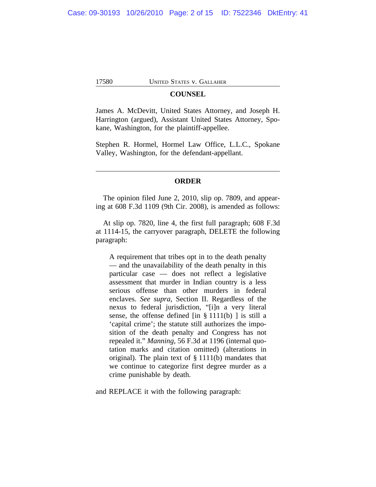# **COUNSEL**

James A. McDevitt, United States Attorney, and Joseph H. Harrington (argued), Assistant United States Attorney, Spokane, Washington, for the plaintiff-appellee.

Stephen R. Hormel, Hormel Law Office, L.L.C., Spokane Valley, Washington, for the defendant-appellant.

#### **ORDER**

The opinion filed June 2, 2010, slip op. 7809, and appearing at 608 F.3d 1109 (9th Cir. 2008), is amended as follows:

At slip op. 7820, line 4, the first full paragraph; 608 F.3d at 1114-15, the carryover paragraph, DELETE the following paragraph:

A requirement that tribes opt in to the death penalty — and the unavailability of the death penalty in this particular case — does not reflect a legislative assessment that murder in Indian country is a less serious offense than other murders in federal enclaves. *See supra*, Section II. Regardless of the nexus to federal jurisdiction, "[i]n a very literal sense, the offense defined  $\left[ \text{in } \S 1111(b) \right]$  is still a 'capital crime'; the statute still authorizes the imposition of the death penalty and Congress has not repealed it." *Manning*, 56 F.3d at 1196 (internal quotation marks and citation omitted) (alterations in original). The plain text of § 1111(b) mandates that we continue to categorize first degree murder as a crime punishable by death.

and REPLACE it with the following paragraph: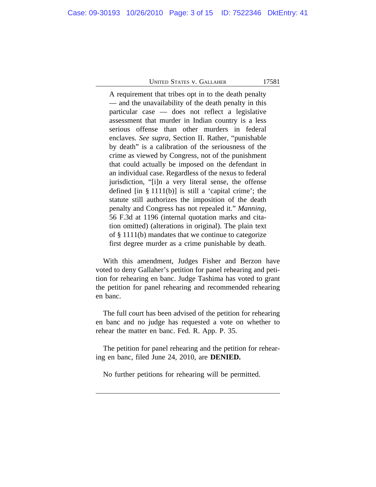A requirement that tribes opt in to the death penalty — and the unavailability of the death penalty in this particular case — does not reflect a legislative assessment that murder in Indian country is a less serious offense than other murders in federal enclaves. *See supra*, Section II. Rather, "punishable by death" is a calibration of the seriousness of the crime as viewed by Congress, not of the punishment that could actually be imposed on the defendant in an individual case. Regardless of the nexus to federal jurisdiction, "[i]n a very literal sense, the offense defined  $\begin{bmatrix} \text{in } \S 1111(b) \end{bmatrix}$  is still a 'capital crime'; the statute still authorizes the imposition of the death penalty and Congress has not repealed it." *Manning*, 56 F.3d at 1196 (internal quotation marks and citation omitted) (alterations in original). The plain text of § 1111(b) mandates that we continue to categorize first degree murder as a crime punishable by death.

With this amendment, Judges Fisher and Berzon have voted to deny Gallaher's petition for panel rehearing and petition for rehearing en banc. Judge Tashima has voted to grant the petition for panel rehearing and recommended rehearing en banc.

The full court has been advised of the petition for rehearing en banc and no judge has requested a vote on whether to rehear the matter en banc. Fed. R. App. P. 35.

The petition for panel rehearing and the petition for rehearing en banc, filed June 24, 2010, are **DENIED.**

No further petitions for rehearing will be permitted.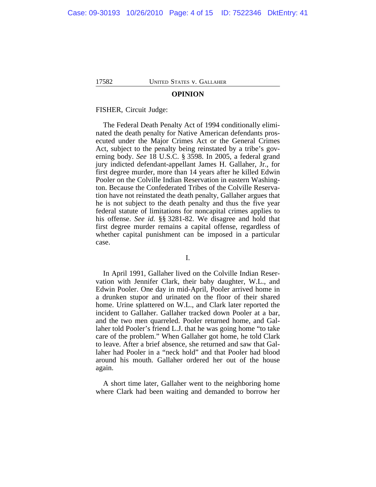#### **OPINION**

FISHER, Circuit Judge:

The Federal Death Penalty Act of 1994 conditionally eliminated the death penalty for Native American defendants prosecuted under the Major Crimes Act or the General Crimes Act, subject to the penalty being reinstated by a tribe's governing body. *See* 18 U.S.C. § 3598. In 2005, a federal grand jury indicted defendant-appellant James H. Gallaher, Jr., for first degree murder, more than 14 years after he killed Edwin Pooler on the Colville Indian Reservation in eastern Washington. Because the Confederated Tribes of the Colville Reservation have not reinstated the death penalty, Gallaher argues that he is not subject to the death penalty and thus the five year federal statute of limitations for noncapital crimes applies to his offense. *See id.* §§ 3281-82. We disagree and hold that first degree murder remains a capital offense, regardless of whether capital punishment can be imposed in a particular case.

## I.

In April 1991, Gallaher lived on the Colville Indian Reservation with Jennifer Clark, their baby daughter, W.L., and Edwin Pooler. One day in mid-April, Pooler arrived home in a drunken stupor and urinated on the floor of their shared home. Urine splattered on W.L., and Clark later reported the incident to Gallaher. Gallaher tracked down Pooler at a bar, and the two men quarreled. Pooler returned home, and Gallaher told Pooler's friend L.J. that he was going home "to take care of the problem." When Gallaher got home, he told Clark to leave. After a brief absence, she returned and saw that Gallaher had Pooler in a "neck hold" and that Pooler had blood around his mouth. Gallaher ordered her out of the house again.

A short time later, Gallaher went to the neighboring home where Clark had been waiting and demanded to borrow her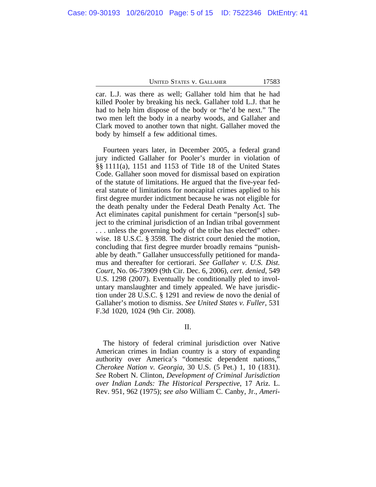car. L.J. was there as well; Gallaher told him that he had killed Pooler by breaking his neck. Gallaher told L.J. that he had to help him dispose of the body or "he'd be next." The two men left the body in a nearby woods, and Gallaher and Clark moved to another town that night. Gallaher moved the body by himself a few additional times.

Fourteen years later, in December 2005, a federal grand jury indicted Gallaher for Pooler's murder in violation of §§ 1111(a), 1151 and 1153 of Title 18 of the United States Code. Gallaher soon moved for dismissal based on expiration of the statute of limitations. He argued that the five-year federal statute of limitations for noncapital crimes applied to his first degree murder indictment because he was not eligible for the death penalty under the Federal Death Penalty Act. The Act eliminates capital punishment for certain "person[s] subject to the criminal jurisdiction of an Indian tribal government . . . unless the governing body of the tribe has elected" otherwise. 18 U.S.C. § 3598. The district court denied the motion, concluding that first degree murder broadly remains "punishable by death." Gallaher unsuccessfully petitioned for mandamus and thereafter for certiorari. *See Gallaher v. U.S. Dist. Court*, No. 06-73909 (9th Cir. Dec. 6, 2006), *cert. denied*, 549 U.S. 1298 (2007). Eventually he conditionally pled to involuntary manslaughter and timely appealed. We have jurisdiction under 28 U.S.C. § 1291 and review de novo the denial of Gallaher's motion to dismiss. *See United States v. Fuller*, 531 F.3d 1020, 1024 (9th Cir. 2008).

II.

The history of federal criminal jurisdiction over Native American crimes in Indian country is a story of expanding authority over America's "domestic dependent nations," *Cherokee Nation v. Georgia*, 30 U.S. (5 Pet.) 1, 10 (1831). *See* Robert N. Clinton, *Development of Criminal Jurisdiction over Indian Lands: The Historical Perspective*, 17 Ariz. L. Rev. 951, 962 (1975); *see also* William C. Canby, Jr., *Ameri-*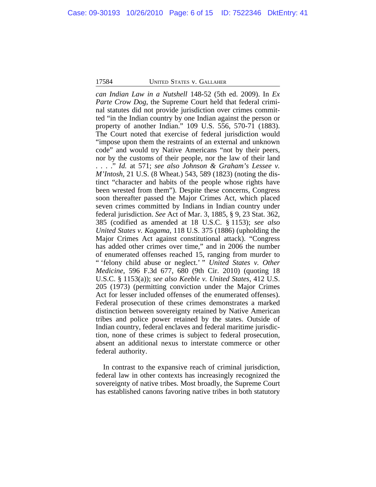*can Indian Law in a Nutshell* 148-52 (5th ed. 2009). In *Ex Parte Crow Dog*, the Supreme Court held that federal criminal statutes did not provide jurisdiction over crimes committed "in the Indian country by one Indian against the person or property of another Indian." 109 U.S. 556, 570-71 (1883). The Court noted that exercise of federal jurisdiction would "impose upon them the restraints of an external and unknown code" and would try Native Americans "not by their peers, nor by the customs of their people, nor the law of their land . . . ." *Id.* at 571; *see also Johnson & Graham's Lessee v. M'Intosh*, 21 U.S. (8 Wheat.) 543, 589 (1823) (noting the distinct "character and habits of the people whose rights have been wrested from them"). Despite these concerns, Congress soon thereafter passed the Major Crimes Act, which placed seven crimes committed by Indians in Indian country under federal jurisdiction. *See* Act of Mar. 3, 1885, § 9, 23 Stat. 362, 385 (codified as amended at 18 U.S.C. § 1153); *see also United States v. Kagama*, 118 U.S. 375 (1886) (upholding the Major Crimes Act against constitutional attack). "Congress has added other crimes over time," and in 2006 the number of enumerated offenses reached 15, ranging from murder to " 'felony child abuse or neglect.' " *United States v. Other Medicine*, 596 F.3d 677, 680 (9th Cir. 2010) (quoting 18 U.S.C. § 1153(a)); *see also Keeble v. United States*, 412 U.S. 205 (1973) (permitting conviction under the Major Crimes Act for lesser included offenses of the enumerated offenses). Federal prosecution of these crimes demonstrates a marked distinction between sovereignty retained by Native American tribes and police power retained by the states. Outside of Indian country, federal enclaves and federal maritime jurisdiction, none of these crimes is subject to federal prosecution, absent an additional nexus to interstate commerce or other federal authority.

In contrast to the expansive reach of criminal jurisdiction, federal law in other contexts has increasingly recognized the sovereignty of native tribes. Most broadly, the Supreme Court has established canons favoring native tribes in both statutory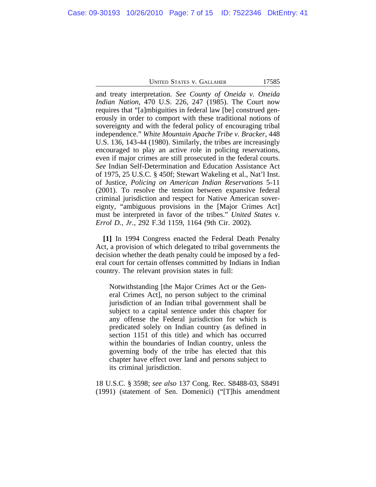and treaty interpretation. *See County of Oneida v. Oneida Indian Nation*, 470 U.S. 226, 247 (1985). The Court now requires that "[a]mbiguities in federal law [be] construed generously in order to comport with these traditional notions of sovereignty and with the federal policy of encouraging tribal independence." *White Mountain Apache Tribe v. Bracker*, 448 U.S. 136, 143-44 (1980). Similarly, the tribes are increasingly encouraged to play an active role in policing reservations, even if major crimes are still prosecuted in the federal courts. *See* Indian Self-Determination and Education Assistance Act of 1975, 25 U.S.C. § 450f; Stewart Wakeling et al., Nat'l Inst. of Justice, *Policing on American Indian Reservations* 5-11 (2001). To resolve the tension between expansive federal criminal jurisdiction and respect for Native American sovereignty, "ambiguous provisions in the [Major Crimes Act] must be interpreted in favor of the tribes." *United States v. Errol D., Jr.*, 292 F.3d 1159, 1164 (9th Cir. 2002).

**[1]** In 1994 Congress enacted the Federal Death Penalty Act, a provision of which delegated to tribal governments the decision whether the death penalty could be imposed by a federal court for certain offenses committed by Indians in Indian country. The relevant provision states in full:

Notwithstanding [the Major Crimes Act or the General Crimes Act], no person subject to the criminal jurisdiction of an Indian tribal government shall be subject to a capital sentence under this chapter for any offense the Federal jurisdiction for which is predicated solely on Indian country (as defined in section 1151 of this title) and which has occurred within the boundaries of Indian country, unless the governing body of the tribe has elected that this chapter have effect over land and persons subject to its criminal jurisdiction.

18 U.S.C. § 3598; *see also* 137 Cong. Rec. S8488-03, S8491 (1991) (statement of Sen. Domenici) ("[T]his amendment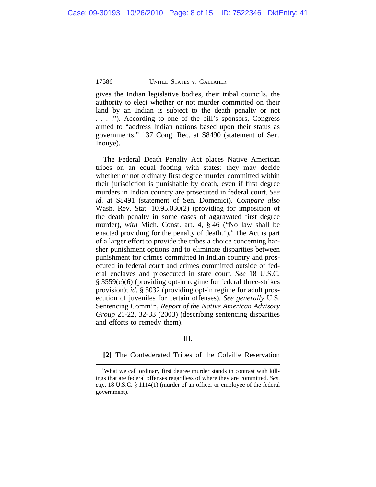gives the Indian legislative bodies, their tribal councils, the authority to elect whether or not murder committed on their land by an Indian is subject to the death penalty or not . . . ."). According to one of the bill's sponsors, Congress aimed to "address Indian nations based upon their status as governments." 137 Cong. Rec. at S8490 (statement of Sen. Inouye).

The Federal Death Penalty Act places Native American tribes on an equal footing with states: they may decide whether or not ordinary first degree murder committed within their jurisdiction is punishable by death, even if first degree murders in Indian country are prosecuted in federal court. *See id.* at S8491 (statement of Sen. Domenici). *Compare also* Wash. Rev. Stat. 10.95.030(2) (providing for imposition of the death penalty in some cases of aggravated first degree murder), *with* Mich. Const. art. 4, § 46 ("No law shall be enacted providing for the penalty of death.").**<sup>1</sup>** The Act is part of a larger effort to provide the tribes a choice concerning harsher punishment options and to eliminate disparities between punishment for crimes committed in Indian country and prosecuted in federal court and crimes committed outside of federal enclaves and prosecuted in state court. *See* 18 U.S.C. § 3559(c)(6) (providing opt-in regime for federal three-strikes provision); *id.* § 5032 (providing opt-in regime for adult prosecution of juveniles for certain offenses). *See generally* U.S. Sentencing Comm'n, *Report of the Native American Advisory Group* 21-22, 32-33 (2003) (describing sentencing disparities and efforts to remedy them).

## III.

## **[2]** The Confederated Tribes of the Colville Reservation

**<sup>1</sup>**What we call ordinary first degree murder stands in contrast with killings that are federal offenses regardless of where they are committed. *See, e.g.*, 18 U.S.C. § 1114(1) (murder of an officer or employee of the federal government).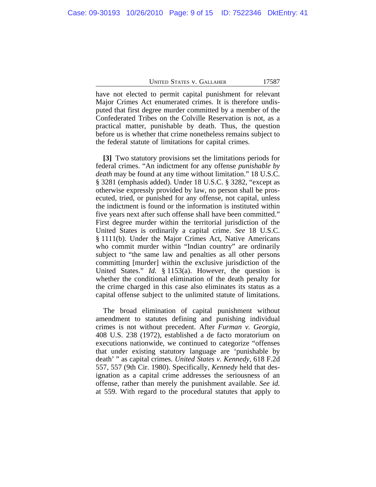have not elected to permit capital punishment for relevant Major Crimes Act enumerated crimes. It is therefore undisputed that first degree murder committed by a member of the Confederated Tribes on the Colville Reservation is not, as a practical matter, punishable by death. Thus, the question before us is whether that crime nonetheless remains subject to the federal statute of limitations for capital crimes.

**[3]** Two statutory provisions set the limitations periods for federal crimes. "An indictment for any offense *punishable by death* may be found at any time without limitation." 18 U.S.C. § 3281 (emphasis added). Under 18 U.S.C. § 3282, "except as otherwise expressly provided by law, no person shall be prosecuted, tried, or punished for any offense, not capital, unless the indictment is found or the information is instituted within five years next after such offense shall have been committed." First degree murder within the territorial jurisdiction of the United States is ordinarily a capital crime. *See* 18 U.S.C. § 1111(b). Under the Major Crimes Act, Native Americans who commit murder within "Indian country" are ordinarily subject to "the same law and penalties as all other persons committing [murder] within the exclusive jurisdiction of the United States." *Id.* § 1153(a). However, the question is whether the conditional elimination of the death penalty for the crime charged in this case also eliminates its status as a capital offense subject to the unlimited statute of limitations.

The broad elimination of capital punishment without amendment to statutes defining and punishing individual crimes is not without precedent. After *Furman v. Georgia*, 408 U.S. 238 (1972), established a de facto moratorium on executions nationwide, we continued to categorize "offenses that under existing statutory language are 'punishable by death' " as capital crimes. *United States v. Kennedy*, 618 F.2d 557, 557 (9th Cir. 1980). Specifically, *Kennedy* held that designation as a capital crime addresses the seriousness of an offense, rather than merely the punishment available. *See id.* at 559. With regard to the procedural statutes that apply to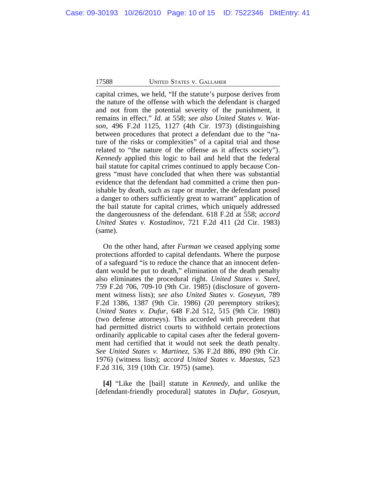capital crimes, we held, "If the statute's purpose derives from the nature of the offense with which the defendant is charged and not from the potential severity of the punishment, it remains in effect." *Id.* at 558; *see also United States v. Watson*, 496 F.2d 1125, 1127 (4th Cir. 1973) (distinguishing between procedures that protect a defendant due to the "nature of the risks or complexities" of a capital trial and those related to "the nature of the offense as it affects society"). *Kennedy* applied this logic to bail and held that the federal bail statute for capital crimes continued to apply because Congress "must have concluded that when there was substantial evidence that the defendant had committed a crime then punishable by death, such as rape or murder, the defendant posed a danger to others sufficiently great to warrant" application of the bail statute for capital crimes, which uniquely addressed the dangerousness of the defendant. 618 F.2d at 558; *accord United States v. Kostadinov*, 721 F.2d 411 (2d Cir. 1983) (same).

On the other hand, after *Furman* we ceased applying some protections afforded to capital defendants. Where the purpose of a safeguard "is to reduce the chance that an innocent defendant would be put to death," elimination of the death penalty also eliminates the procedural right. *United States v. Steel*, 759 F.2d 706, 709-10 (9th Cir. 1985) (disclosure of government witness lists); *see also United States v. Goseyun*, 789 F.2d 1386, 1387 (9th Cir. 1986) (20 peremptory strikes); *United States v. Dufur*, 648 F.2d 512, 515 (9th Cir. 1980) (two defense attorneys). This accorded with precedent that had permitted district courts to withhold certain protections ordinarily applicable to capital cases after the federal government had certified that it would not seek the death penalty. *See United States v. Martinez*, 536 F.2d 886, 890 (9th Cir. 1976) (witness lists); *accord United States v. Maestas*, 523 F.2d 316, 319 (10th Cir. 1975) (same).

**[4]** "Like the [bail] statute in *Kennedy*, and unlike the [defendant-friendly procedural] statutes in *Dufur*, *Goseyun*,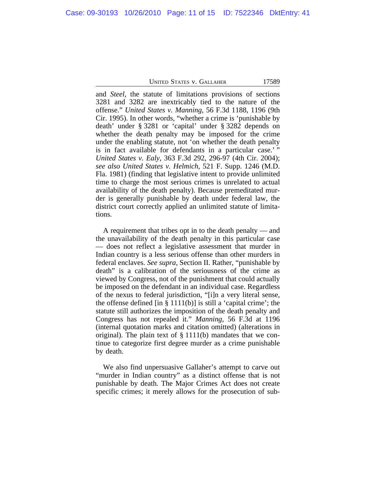and *Steel*, the statute of limitations provisions of sections 3281 and 3282 are inextricably tied to the nature of the offense." *United States v. Manning*, 56 F.3d 1188, 1196 (9th Cir. 1995). In other words, "whether a crime is 'punishable by death' under § 3281 or 'capital' under § 3282 depends on whether the death penalty may be imposed for the crime under the enabling statute, not 'on whether the death penalty is in fact available for defendants in a particular case.'" *United States v. Ealy*, 363 F.3d 292, 296-97 (4th Cir. 2004); *see also United States v. Helmich*, 521 F. Supp. 1246 (M.D. Fla. 1981) (finding that legislative intent to provide unlimited time to charge the most serious crimes is unrelated to actual availability of the death penalty). Because premeditated murder is generally punishable by death under federal law, the district court correctly applied an unlimited statute of limitations.

A requirement that tribes opt in to the death penalty — and the unavailability of the death penalty in this particular case — does not reflect a legislative assessment that murder in Indian country is a less serious offense than other murders in federal enclaves. *See supra*, Section II. Rather, "punishable by death" is a calibration of the seriousness of the crime as viewed by Congress, not of the punishment that could actually be imposed on the defendant in an individual case. Regardless of the nexus to federal jurisdiction, "[i]n a very literal sense, the offense defined [in  $\S 1111(b)$ ] is still a 'capital crime'; the statute still authorizes the imposition of the death penalty and Congress has not repealed it." *Manning*, 56 F.3d at 1196 (internal quotation marks and citation omitted) (alterations in original). The plain text of § 1111(b) mandates that we continue to categorize first degree murder as a crime punishable by death.

We also find unpersuasive Gallaher's attempt to carve out "murder in Indian country" as a distinct offense that is not punishable by death. The Major Crimes Act does not create specific crimes; it merely allows for the prosecution of sub-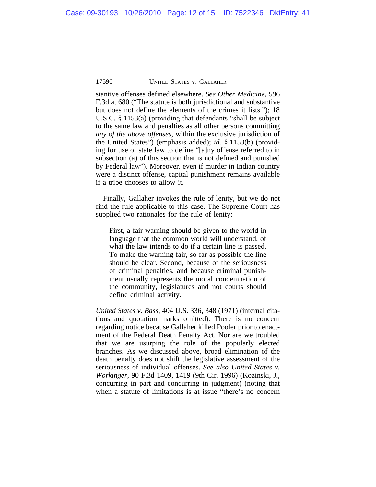stantive offenses defined elsewhere. *See Other Medicine*, 596 F.3d at 680 ("The statute is both jurisdictional and substantive but does not define the elements of the crimes it lists."); 18 U.S.C. § 1153(a) (providing that defendants "shall be subject to the same law and penalties as all other persons committing *any of the above offenses*, within the exclusive jurisdiction of the United States") (emphasis added); *id.* § 1153(b) (providing for use of state law to define "[a]ny offense referred to in subsection (a) of this section that is not defined and punished by Federal law"). Moreover, even if murder in Indian country were a distinct offense, capital punishment remains available if a tribe chooses to allow it.

Finally, Gallaher invokes the rule of lenity, but we do not find the rule applicable to this case. The Supreme Court has supplied two rationales for the rule of lenity:

First, a fair warning should be given to the world in language that the common world will understand, of what the law intends to do if a certain line is passed. To make the warning fair, so far as possible the line should be clear. Second, because of the seriousness of criminal penalties, and because criminal punishment usually represents the moral condemnation of the community, legislatures and not courts should define criminal activity.

*United States v. Bass*, 404 U.S. 336, 348 (1971) (internal citations and quotation marks omitted). There is no concern regarding notice because Gallaher killed Pooler prior to enactment of the Federal Death Penalty Act. Nor are we troubled that we are usurping the role of the popularly elected branches. As we discussed above, broad elimination of the death penalty does not shift the legislative assessment of the seriousness of individual offenses. *See also United States v. Workinger*, 90 F.3d 1409, 1419 (9th Cir. 1996) (Kozinski, J., concurring in part and concurring in judgment) (noting that when a statute of limitations is at issue "there's no concern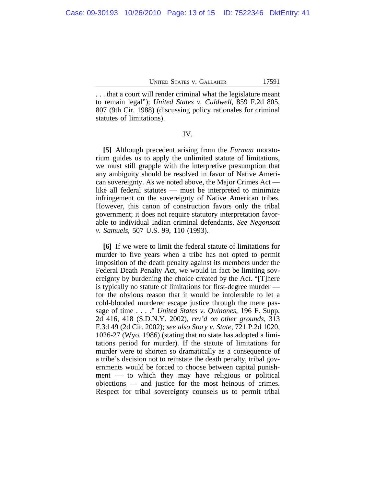. . . that a court will render criminal what the legislature meant to remain legal"); *United States v. Caldwell*, 859 F.2d 805, 807 (9th Cir. 1988) (discussing policy rationales for criminal statutes of limitations).

IV.

**[5]** Although precedent arising from the *Furman* moratorium guides us to apply the unlimited statute of limitations, we must still grapple with the interpretive presumption that any ambiguity should be resolved in favor of Native American sovereignty. As we noted above, the Major Crimes Act like all federal statutes — must be interpreted to minimize infringement on the sovereignty of Native American tribes. However, this canon of construction favors only the tribal government; it does not require statutory interpretation favorable to individual Indian criminal defendants. *See Negonsott v. Samuels*, 507 U.S. 99, 110 (1993).

**[6]** If we were to limit the federal statute of limitations for murder to five years when a tribe has not opted to permit imposition of the death penalty against its members under the Federal Death Penalty Act, we would in fact be limiting sovereignty by burdening the choice created by the Act. "[T]here is typically no statute of limitations for first-degree murder for the obvious reason that it would be intolerable to let a cold-blooded murderer escape justice through the mere passage of time . . . ." *United States v. Quinones*, 196 F. Supp. 2d 416, 418 (S.D.N.Y. 2002), *rev'd on other grounds*, 313 F.3d 49 (2d Cir. 2002); *see also Story v. State*, 721 P.2d 1020, 1026-27 (Wyo. 1986) (stating that no state has adopted a limitations period for murder). If the statute of limitations for murder were to shorten so dramatically as a consequence of a tribe's decision not to reinstate the death penalty, tribal governments would be forced to choose between capital punishment — to which they may have religious or political objections — and justice for the most heinous of crimes. Respect for tribal sovereignty counsels us to permit tribal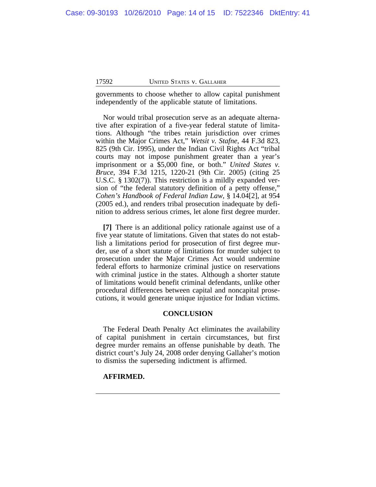governments to choose whether to allow capital punishment independently of the applicable statute of limitations.

Nor would tribal prosecution serve as an adequate alternative after expiration of a five-year federal statute of limitations. Although "the tribes retain jurisdiction over crimes within the Major Crimes Act," *Wetsit v. Stafne*, 44 F.3d 823, 825 (9th Cir. 1995), under the Indian Civil Rights Act "tribal courts may not impose punishment greater than a year's imprisonment or a \$5,000 fine, or both." *United States v. Bruce*, 394 F.3d 1215, 1220-21 (9th Cir. 2005) (citing 25 U.S.C. § 1302(7)). This restriction is a mildly expanded version of "the federal statutory definition of a petty offense," *Cohen's Handbook of Federal Indian Law*, § 14.04[2], at 954 (2005 ed.), and renders tribal prosecution inadequate by definition to address serious crimes, let alone first degree murder.

**[7]** There is an additional policy rationale against use of a five year statute of limitations. Given that states do not establish a limitations period for prosecution of first degree murder, use of a short statute of limitations for murder subject to prosecution under the Major Crimes Act would undermine federal efforts to harmonize criminal justice on reservations with criminal justice in the states. Although a shorter statute of limitations would benefit criminal defendants, unlike other procedural differences between capital and noncapital prosecutions, it would generate unique injustice for Indian victims.

# **CONCLUSION**

The Federal Death Penalty Act eliminates the availability of capital punishment in certain circumstances, but first degree murder remains an offense punishable by death. The district court's July 24, 2008 order denying Gallaher's motion to dismiss the superseding indictment is affirmed.

## **AFFIRMED.**